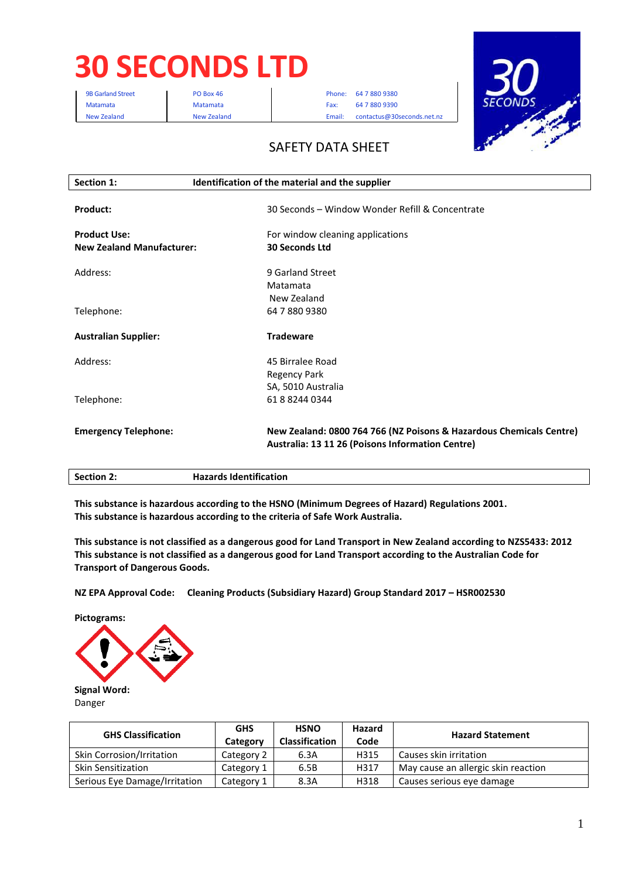# **30 SECONDS LTD**

9B Garland Street **PO Box 46** Phone: 64 7 880 9380 Matamata Matamata Matamata Fax: 64 7 880 9390 New Zealand New Zealand Email: contactus@30seconds.net.nz



## SAFETY DATA SHEET

| Section 1:                       | Identification of the material and the supplier                     |  |
|----------------------------------|---------------------------------------------------------------------|--|
|                                  |                                                                     |  |
| Product:                         | 30 Seconds - Window Wonder Refill & Concentrate                     |  |
| <b>Product Use:</b>              | For window cleaning applications                                    |  |
| <b>New Zealand Manufacturer:</b> | 30 Seconds Ltd                                                      |  |
| Address:                         | 9 Garland Street                                                    |  |
|                                  | Matamata                                                            |  |
|                                  | New Zealand                                                         |  |
| Telephone:                       | 64 7 880 9380                                                       |  |
| <b>Australian Supplier:</b>      | <b>Tradeware</b>                                                    |  |
| Address:                         | 45 Birralee Road                                                    |  |
|                                  | <b>Regency Park</b>                                                 |  |
|                                  | SA, 5010 Australia                                                  |  |
| Telephone:                       | 61882440344                                                         |  |
| <b>Emergency Telephone:</b>      | New Zealand: 0800 764 766 (NZ Poisons & Hazardous Chemicals Centre) |  |
|                                  | Australia: 13 11 26 (Poisons Information Centre)                    |  |
| <b>Section 2:</b>                | <b>Hazards Identification</b>                                       |  |

**This substance is hazardous according to the HSNO (Minimum Degrees of Hazard) Regulations 2001. This substance is hazardous according to the criteria of Safe Work Australia.** 

**This substance is not classified as a dangerous good for Land Transport in New Zealand according to NZS5433: 2012 This substance is not classified as a dangerous good for Land Transport according to the Australian Code for Transport of Dangerous Goods.** 

**NZ EPA Approval Code: Cleaning Products (Subsidiary Hazard) Group Standard 2017 – HSR002530** 

**Pictograms:** 



Danger

| <b>GHS Classification</b>     | <b>GHS</b><br>Category | <b>HSNO</b><br><b>Classification</b> | Hazard<br>Code | <b>Hazard Statement</b>             |
|-------------------------------|------------------------|--------------------------------------|----------------|-------------------------------------|
| Skin Corrosion/Irritation     | Category 2             | 6.3A                                 | H315           | Causes skin irritation              |
| Skin Sensitization            | Category 1             | 6.5B                                 | H317           | May cause an allergic skin reaction |
| Serious Eye Damage/Irritation | Category 1             | 8.3A                                 | H318           | Causes serious eye damage           |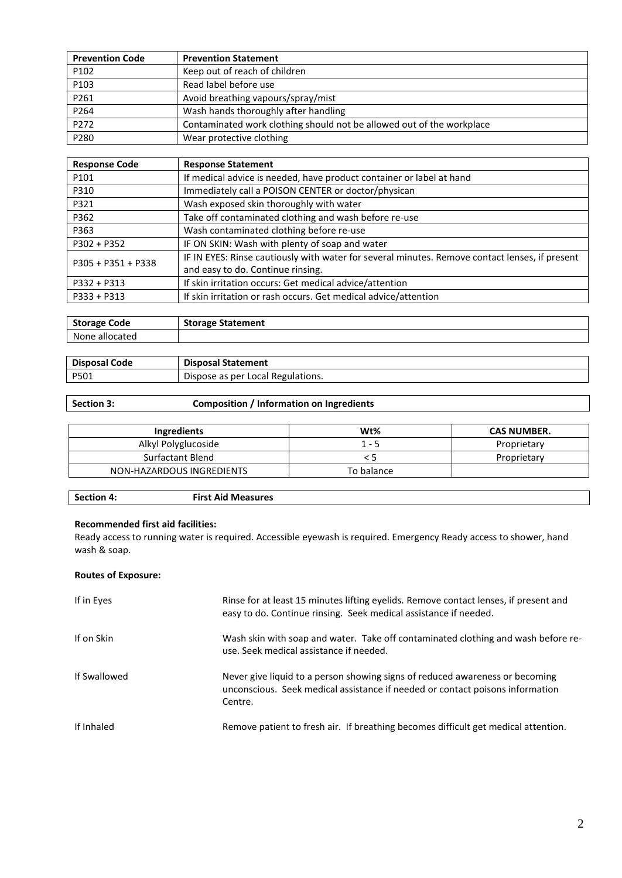| <b>Prevention Code</b> | <b>Prevention Statement</b>                                           |
|------------------------|-----------------------------------------------------------------------|
| P102                   | Keep out of reach of children                                         |
| P103                   | Read label before use                                                 |
| P261                   | Avoid breathing vapours/spray/mist                                    |
| P264                   | Wash hands thoroughly after handling                                  |
| P272                   | Contaminated work clothing should not be allowed out of the workplace |
| P280                   | Wear protective clothing                                              |

| <b>Response Code</b> | <b>Response Statement</b>                                                                      |
|----------------------|------------------------------------------------------------------------------------------------|
| P101                 | If medical advice is needed, have product container or label at hand                           |
| P310                 | Immediately call a POISON CENTER or doctor/physican                                            |
| P321                 | Wash exposed skin thoroughly with water                                                        |
| P362                 | Take off contaminated clothing and wash before re-use                                          |
| P363                 | Wash contaminated clothing before re-use                                                       |
| $P302 + P352$        | IF ON SKIN: Wash with plenty of soap and water                                                 |
| $P305 + P351 + P338$ | IF IN EYES: Rinse cautiously with water for several minutes. Remove contact lenses, if present |
|                      | and easy to do. Continue rinsing.                                                              |
| $P332 + P313$        | If skin irritation occurs: Get medical advice/attention                                        |
| $P333 + P313$        | If skin irritation or rash occurs. Get medical advice/attention                                |

| <b>Storage Code</b> | <b>Storage Statement</b> |
|---------------------|--------------------------|
| None<br>сатес       |                          |

| <b>Disposal</b> | <b>Disposal S</b>                         |
|-----------------|-------------------------------------------|
| Code            | Statement                                 |
| P501            | Regulations.<br>Local<br>Dispose as per ' |

#### **Section 3: Composition / Information on Ingredients**

| Ingredients               | W <sub>t</sub> % | <b>CAS NUMBER.</b> |
|---------------------------|------------------|--------------------|
| Alkyl Polyglucoside       | $1 - 5$          | Proprietary        |
| Surfactant Blend          |                  | Proprietary        |
| NON-HAZARDOUS INGREDIENTS | To balance       |                    |

| <b>Section 4:</b> | <b>First Aid Measures</b> |
|-------------------|---------------------------|
|                   |                           |

#### **Recommended first aid facilities:**

Ready access to running water is required. Accessible eyewash is required. Emergency Ready access to shower, hand wash & soap.

#### **Routes of Exposure:**

| If in Eyes   | Rinse for at least 15 minutes lifting eyelids. Remove contact lenses, if present and<br>easy to do. Continue rinsing. Seek medical assistance if needed.                 |
|--------------|--------------------------------------------------------------------------------------------------------------------------------------------------------------------------|
| If on Skin   | Wash skin with soap and water. Take off contaminated clothing and wash before re-<br>use. Seek medical assistance if needed.                                             |
| If Swallowed | Never give liquid to a person showing signs of reduced awareness or becoming<br>unconscious. Seek medical assistance if needed or contact poisons information<br>Centre. |
| If Inhaled   | Remove patient to fresh air. If breathing becomes difficult get medical attention.                                                                                       |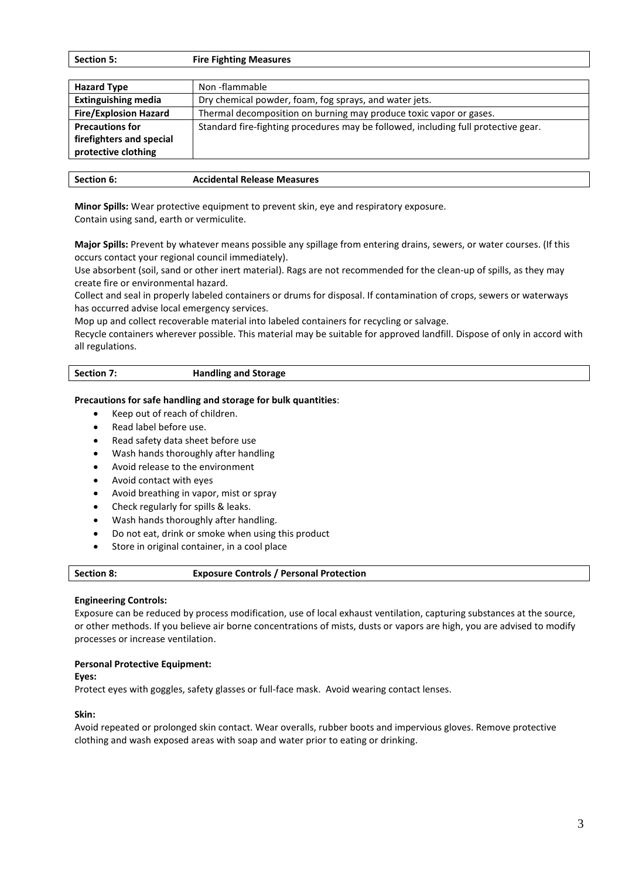| <b>Section 5:</b> | <b>Fire Fighting Measures</b> |  |
|-------------------|-------------------------------|--|
|-------------------|-------------------------------|--|

| <b>Hazard Type</b>           | Non-flammable                                                                      |
|------------------------------|------------------------------------------------------------------------------------|
| <b>Extinguishing media</b>   | Dry chemical powder, foam, fog sprays, and water jets.                             |
| <b>Fire/Explosion Hazard</b> | Thermal decomposition on burning may produce toxic vapor or gases.                 |
| <b>Precautions for</b>       | Standard fire-fighting procedures may be followed, including full protective gear. |
| firefighters and special     |                                                                                    |
| protective clothing          |                                                                                    |
|                              |                                                                                    |

| Section 6: | <b>Accidental Release Measures</b> |
|------------|------------------------------------|
|------------|------------------------------------|

**Minor Spills:** Wear protective equipment to prevent skin, eye and respiratory exposure. Contain using sand, earth or vermiculite.

**Major Spills:** Prevent by whatever means possible any spillage from entering drains, sewers, or water courses. (If this occurs contact your regional council immediately).

Use absorbent (soil, sand or other inert material). Rags are not recommended for the clean-up of spills, as they may create fire or environmental hazard.

Collect and seal in properly labeled containers or drums for disposal. If contamination of crops, sewers or waterways has occurred advise local emergency services.

Mop up and collect recoverable material into labeled containers for recycling or salvage.

Recycle containers wherever possible. This material may be suitable for approved landfill. Dispose of only in accord with all regulations.

| <b>Section 7:</b> | <b>Handling and Storage</b> |
|-------------------|-----------------------------|
|                   |                             |

#### **Precautions for safe handling and storage for bulk quantities**:

- Keep out of reach of children.
- Read label before use.
- Read safety data sheet before use
- Wash hands thoroughly after handling
- Avoid release to the environment
- Avoid contact with eyes
- Avoid breathing in vapor, mist or spray
- Check regularly for spills & leaks.
- Wash hands thoroughly after handling.
- Do not eat, drink or smoke when using this product
- Store in original container, in a cool place

| <b>Section 8:</b> | <b>Exposure Controls / Personal Protection</b> |  |
|-------------------|------------------------------------------------|--|
|-------------------|------------------------------------------------|--|

#### **Engineering Controls:**

Exposure can be reduced by process modification, use of local exhaust ventilation, capturing substances at the source, or other methods. If you believe air borne concentrations of mists, dusts or vapors are high, you are advised to modify processes or increase ventilation.

#### **Personal Protective Equipment:**

**Eyes:** 

Protect eyes with goggles, safety glasses or full-face mask. Avoid wearing contact lenses.

#### **Skin:**

Avoid repeated or prolonged skin contact. Wear overalls, rubber boots and impervious gloves. Remove protective clothing and wash exposed areas with soap and water prior to eating or drinking.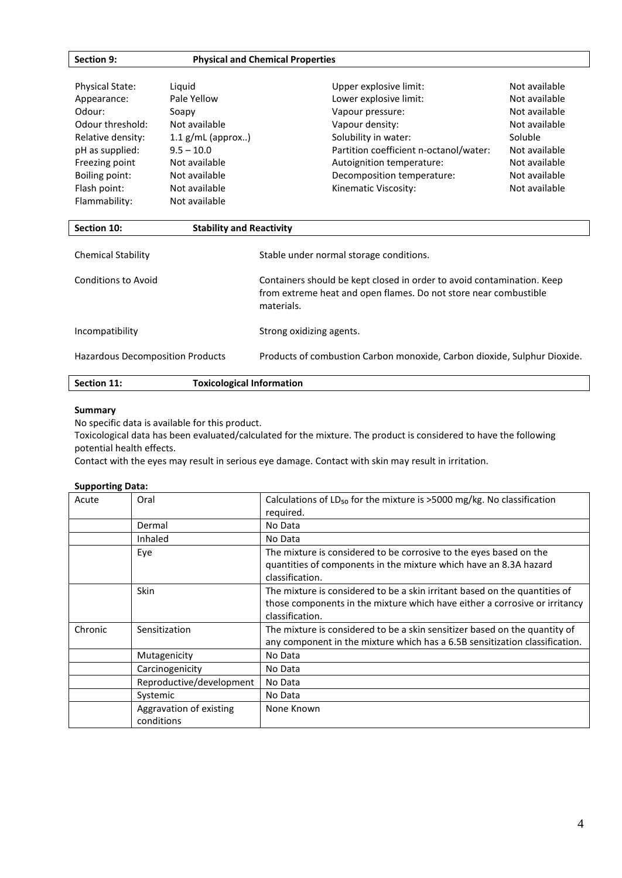| Section 9:             | <b>Physical and Chemical Properties</b> |                                        |               |
|------------------------|-----------------------------------------|----------------------------------------|---------------|
|                        |                                         |                                        |               |
| <b>Physical State:</b> | Liguid                                  | Upper explosive limit:                 | Not available |
| Appearance:            | Pale Yellow                             | Lower explosive limit:                 | Not available |
| Odour:                 | Soapy                                   | Vapour pressure:                       | Not available |
| Odour threshold:       | Not available                           | Vapour density:                        | Not available |
| Relative density:      | $1.1$ g/mL (approx)                     | Solubility in water:                   | Soluble       |
| pH as supplied:        | $9.5 - 10.0$                            | Partition coefficient n-octanol/water: | Not available |
| Freezing point         | Not available                           | Autoignition temperature:              | Not available |
| Boiling point:         | Not available                           | Decomposition temperature:             | Not available |
| Flash point:           | Not available                           | Kinematic Viscosity:                   | Not available |
| Flammability:          | Not available                           |                                        |               |

| Section 10:                             | <b>Stability and Reactivity</b>                                                                                                                          |
|-----------------------------------------|----------------------------------------------------------------------------------------------------------------------------------------------------------|
| Chemical Stability                      | Stable under normal storage conditions.                                                                                                                  |
| Conditions to Avoid                     | Containers should be kept closed in order to avoid contamination. Keep<br>from extreme heat and open flames. Do not store near combustible<br>materials. |
| Incompatibility                         | Strong oxidizing agents.                                                                                                                                 |
| <b>Hazardous Decomposition Products</b> | Products of combustion Carbon monoxide, Carbon dioxide, Sulphur Dioxide.                                                                                 |
| Section 11:                             | <b>Toxicological Information</b>                                                                                                                         |

#### **Summary**

No specific data is available for this product.

Toxicological data has been evaluated/calculated for the mixture. The product is considered to have the following potential health effects.

Contact with the eyes may result in serious eye damage. Contact with skin may result in irritation.

#### **Supporting Data:**

| Acute   | Oral                                  | Calculations of $LD_{50}$ for the mixture is >5000 mg/kg. No classification<br>required. |
|---------|---------------------------------------|------------------------------------------------------------------------------------------|
|         | Dermal                                | No Data                                                                                  |
|         | Inhaled                               | No Data                                                                                  |
|         | Eye                                   | The mixture is considered to be corrosive to the eyes based on the                       |
|         |                                       | quantities of components in the mixture which have an 8.3A hazard                        |
|         |                                       | classification.                                                                          |
|         | <b>Skin</b>                           | The mixture is considered to be a skin irritant based on the quantities of               |
|         |                                       | those components in the mixture which have either a corrosive or irritancy               |
|         |                                       | classification.                                                                          |
| Chronic | Sensitization                         | The mixture is considered to be a skin sensitizer based on the quantity of               |
|         |                                       | any component in the mixture which has a 6.5B sensitization classification.              |
|         | Mutagenicity                          | No Data                                                                                  |
|         | Carcinogenicity                       | No Data                                                                                  |
|         | Reproductive/development              | No Data                                                                                  |
|         | Systemic                              | No Data                                                                                  |
|         | Aggravation of existing<br>conditions | None Known                                                                               |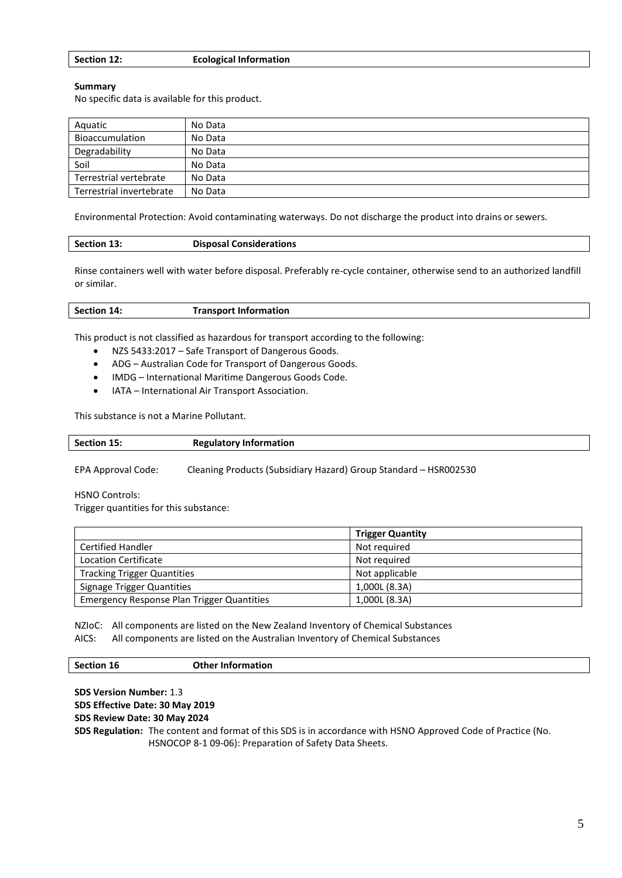| Section 12: | <b>Ecological Information</b> |
|-------------|-------------------------------|
|-------------|-------------------------------|

#### **Summary**

No specific data is available for this product.

| Aquatic                  | No Data |
|--------------------------|---------|
| <b>Bioaccumulation</b>   | No Data |
| Degradability            | No Data |
| Soil                     | No Data |
| Terrestrial vertebrate   | No Data |
| Terrestrial invertebrate | No Data |

Environmental Protection: Avoid contaminating waterways. Do not discharge the product into drains or sewers.

| Section 13:<br><b>Disposal Considerations</b> |  |
|-----------------------------------------------|--|
|-----------------------------------------------|--|

Rinse containers well with water before disposal. Preferably re-cycle container, otherwise send to an authorized landfill or similar.

This product is not classified as hazardous for transport according to the following:

- NZS 5433:2017 Safe Transport of Dangerous Goods.
- ADG Australian Code for Transport of Dangerous Goods.
- IMDG International Maritime Dangerous Goods Code.
- IATA International Air Transport Association.

This substance is not a Marine Pollutant.

**Section 15: Regulatory Information** 

EPA Approval Code: Cleaning Products (Subsidiary Hazard) Group Standard – HSR002530

HSNO Controls:

Trigger quantities for this substance:

|                                                   | <b>Trigger Quantity</b> |
|---------------------------------------------------|-------------------------|
| <b>Certified Handler</b>                          | Not required            |
| <b>Location Certificate</b>                       | Not required            |
| <b>Tracking Trigger Quantities</b>                | Not applicable          |
| Signage Trigger Quantities                        | 1,000L (8.3A)           |
| <b>Emergency Response Plan Trigger Quantities</b> | 1,000L (8.3A)           |

NZIoC: All components are listed on the New Zealand Inventory of Chemical Substances AICS: All components are listed on the Australian Inventory of Chemical Substances

#### **Section 16 Other Information**

**SDS Version Number:** 1.3 **SDS Effective Date: 30 May 2019 SDS Review Date: 30 May 2024**

**SDS Regulation:** The content and format of this SDS is in accordance with HSNO Approved Code of Practice (No. HSNOCOP 8-1 09-06): Preparation of Safety Data Sheets.